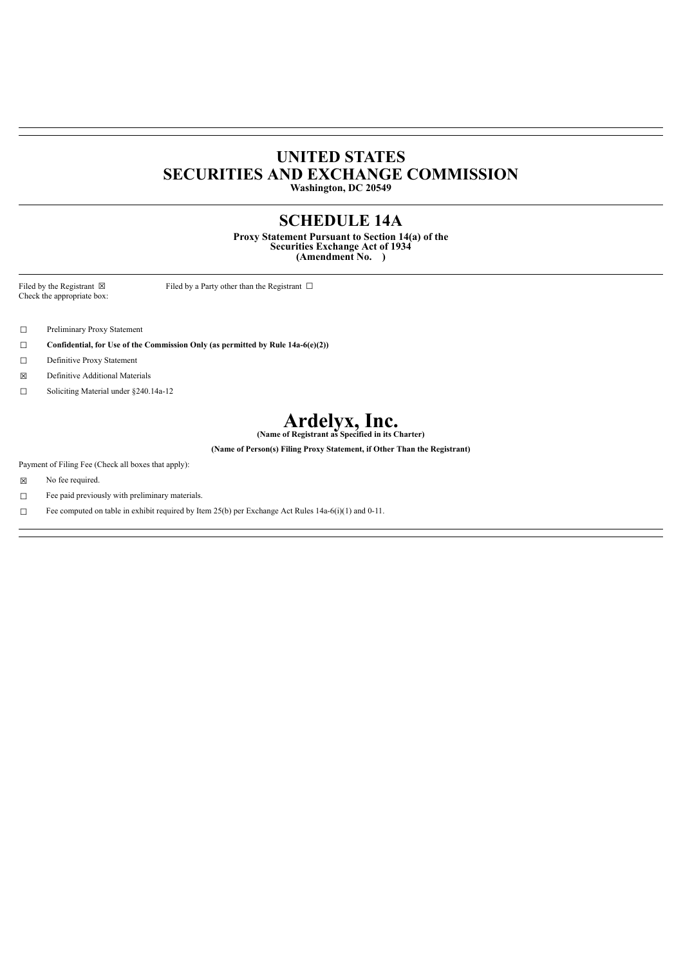## **UNITED STATES SECURITIES AND EXCHANGE COMMISSION**

**Washington, DC 20549**

### **SCHEDULE 14A**

**Proxy Statement Pursuant to Section 14(a) of the Securities Exchange Act of 1934 (Amendment No. )**

Check the appropriate box:

Filed by the Registrant  $\boxtimes$  Filed by a Party other than the Registrant  $\Box$ 

☐ Preliminary Proxy Statement

☐ **Confidential, for Use of the Commission Only (as permitted by Rule 14a-6(e)(2))**

☐ Definitive Proxy Statement

☒ Definitive Additional Materials

☐ Soliciting Material under §240.14a-12

# **Ardelyx, Inc. (Name of Registrant as Specified in its Charter)**

**(Name of Person(s) Filing Proxy Statement, if Other Than the Registrant)**

Payment of Filing Fee (Check all boxes that apply):

☒ No fee required.

☐ Fee paid previously with preliminary materials.

□ Fee computed on table in exhibit required by Item  $25(b)$  per Exchange Act Rules 14a-6(i)(1) and 0-11.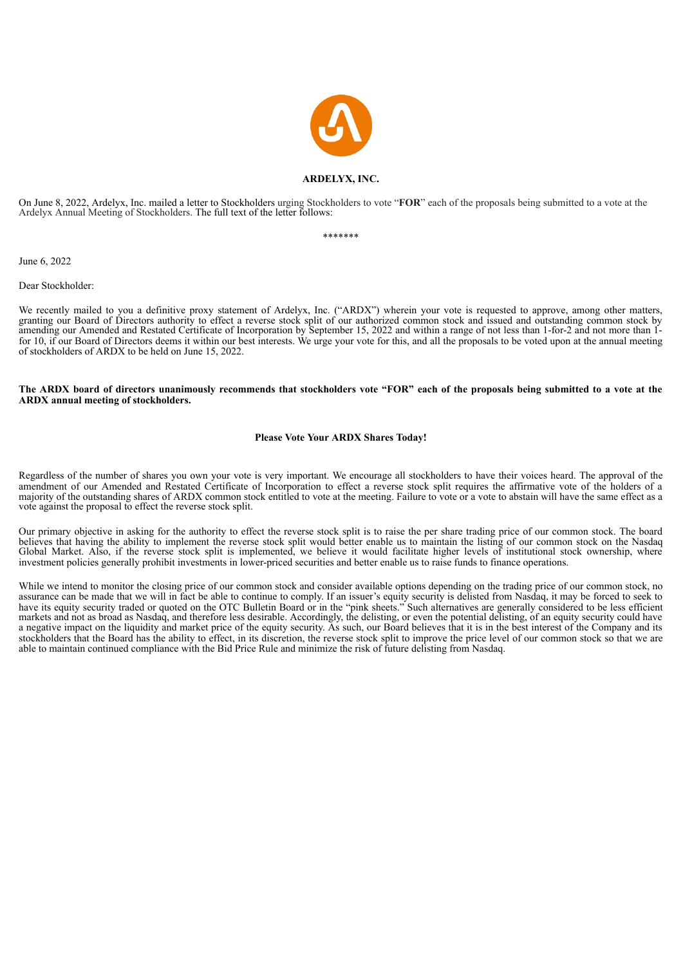

#### **ARDELYX, INC.**

On June 8, 2022, Ardelyx, Inc. mailed a letter to Stockholders urging Stockholders to vote "**FOR**" each of the proposals being submitted to a vote at the Ardelyx Annual Meeting of Stockholders. The full text of the letter follows:

\*\*\*\*\*\*\*

June 6, 2022

Dear Stockholder:

We recently mailed to you a definitive proxy statement of Ardelyx, Inc. ("ARDX") wherein your vote is requested to approve, among other matters, granting our Board of Directors authority to effect a reverse stock split of our authorized common stock and issued and outstanding common stock by amending our Amended and Restated Certificate of Incorporation by September 15, 2022 and within a range of not less than 1-for-2 and not more than 1 for 10, if our Board of Directors deems it within our best interests. We urge your vote for this, and all the proposals to be voted upon at the annual meeting of stockholders of ARDX to be held on June 15, 2022.

#### The ARDX board of directors unanimously recommends that stockholders vote "FOR" each of the proposals being submitted to a vote at the **ARDX annual meeting of stockholders.**

#### **Please Vote Your ARDX Shares Today!**

Regardless of the number of shares you own your vote is very important. We encourage all stockholders to have their voices heard. The approval of the amendment of our Amended and Restated Certificate of Incorporation to effect a reverse stock split requires the affirmative vote of the holders of a majority of the outstanding shares of ARDX common stock entitled to vote at the meeting. Failure to vote or a vote to abstain will have the same effect as a vote against the proposal to effect the reverse stock split.

Our primary objective in asking for the authority to effect the reverse stock split is to raise the per share trading price of our common stock. The board believes that having the ability to implement the reverse stock split would better enable us to maintain the listing of our common stock on the Nasdaq Global Market. Also, if the reverse stock split is implemented, we believe it would facilitate higher levels of institutional stock ownership, where investment policies generally prohibit investments in lower-priced securities and better enable us to raise funds to finance operations.

While we intend to monitor the closing price of our common stock and consider available options depending on the trading price of our common stock, no assurance can be made that we will in fact be able to continue to comply. If an issuer's equity security is delisted from Nasdaq, it may be forced to seek to have its equity security traded or quoted on the OTC Bulletin Board or in the "pink sheets." Such alternatives are generally considered to be less efficient markets and not as broad as Nasdaq, and therefore less desirable. Accordingly, the delisting, or even the potential delisting, of an equity security could have a negative impact on the liquidity and market price of the equity security. As such, our Board believes that it is in the best interest of the Company and its stockholders that the Board has the ability to effect, in its discretion, the reverse stock split to improve the price level of our common stock so that we are able to maintain continued compliance with the Bid Price Rule and minimize the risk of future delisting from Nasdaq.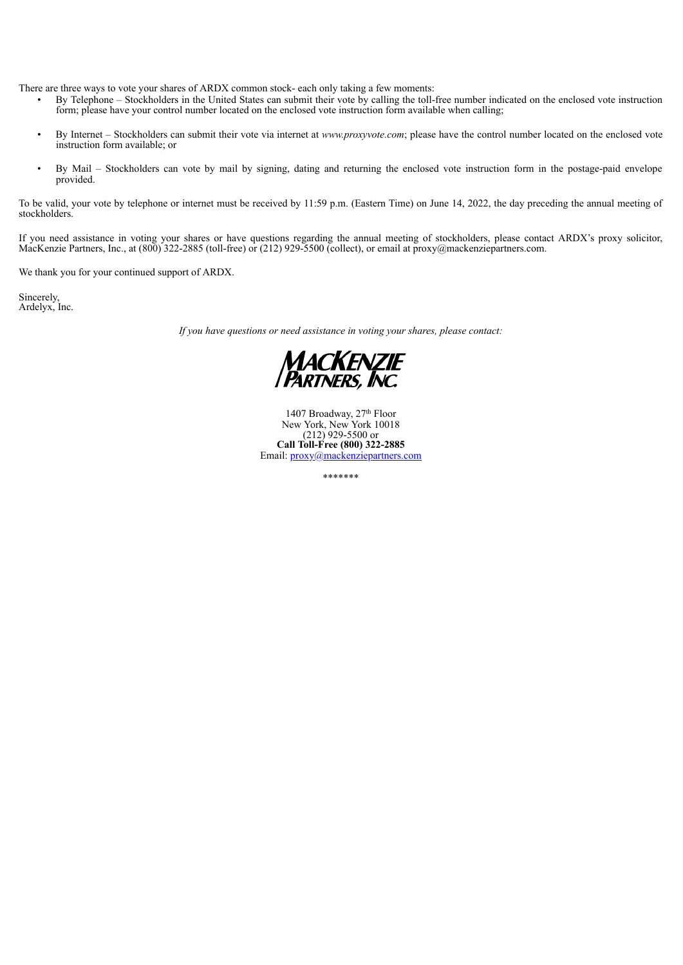There are three ways to vote your shares of ARDX common stock- each only taking a few moments:

- By Telephone Stockholders in the United States can submit their vote by calling the toll-free number indicated on the enclosed vote instruction form; please have your control number located on the enclosed vote instruction form available when calling;
- By Internet Stockholders can submit their vote via internet at *www.proxyvote.com*; please have the control number located on the enclosed vote instruction form available; or
- By Mail Stockholders can vote by mail by signing, dating and returning the enclosed vote instruction form in the postage-paid envelope provided.

To be valid, your vote by telephone or internet must be received by 11:59 p.m. (Eastern Time) on June 14, 2022, the day preceding the annual meeting of stockholders.

If you need assistance in voting your shares or have questions regarding the annual meeting of stockholders, please contact ARDX's proxy solicitor, MacKenzie Partners, Inc., at (800) 322-2885 (toll-free) or (212) 929-5500

We thank you for your continued support of ARDX.

Sincerely, Ardelyx, Inc.

*If you have questions or need assistance in voting your shares, please contact:*



1407 Broadway, 27<sup>th</sup> Floor New York, New York 10018 (212) 929-5500 or **Call Toll-Free (800) 322-2885** Email: proxy@mackenziepartners.com th

\*\*\*\*\*\*\*